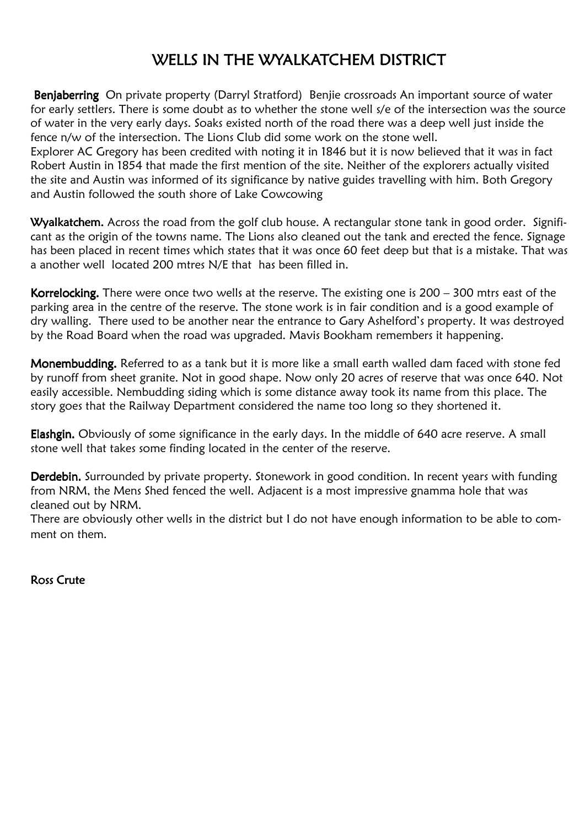## WELLS IN THE WYALKATCHEM DISTRICT

Benjaberring On private property (Darryl Stratford) Benjie crossroads An important source of water for early settlers. There is some doubt as to whether the stone well s/e of the intersection was the source of water in the very early days. Soaks existed north of the road there was a deep well just inside the fence n/w of the intersection. The Lions Club did some work on the stone well.

Explorer AC Gregory has been credited with noting it in 1846 but it is now believed that it was in fact Robert Austin in 1854 that made the first mention of the site. Neither of the explorers actually visited the site and Austin was informed of its significance by native guides travelling with him. Both Gregory and Austin followed the south shore of Lake Cowcowing

Wyalkatchem. Across the road from the golf club house. A rectangular stone tank in good order. Significant as the origin of the towns name. The Lions also cleaned out the tank and erected the fence. Signage has been placed in recent times which states that it was once 60 feet deep but that is a mistake. That was a another well located 200 mtres N/E that has been filled in.

Korrelocking. There were once two wells at the reserve. The existing one is  $200 - 300$  mtrs east of the parking area in the centre of the reserve. The stone work is in fair condition and is a good example of dry walling. There used to be another near the entrance to Gary Ashelford's property. It was destroyed by the Road Board when the road was upgraded. Mavis Bookham remembers it happening.

Monembudding. Referred to as a tank but it is more like a small earth walled dam faced with stone fed by runoff from sheet granite. Not in good shape. Now only 20 acres of reserve that was once 640. Not easily accessible. Nembudding siding which is some distance away took its name from this place. The story goes that the Railway Department considered the name too long so they shortened it.

Elashgin. Obviously of some significance in the early days. In the middle of 640 acre reserve. A small stone well that takes some finding located in the center of the reserve.

Derdebin. Surrounded by private property. Stonework in good condition. In recent years with funding from NRM, the Mens Shed fenced the well. Adjacent is a most impressive gnamma hole that was cleaned out by NRM.

There are obviously other wells in the district but I do not have enough information to be able to comment on them.

Ross Crute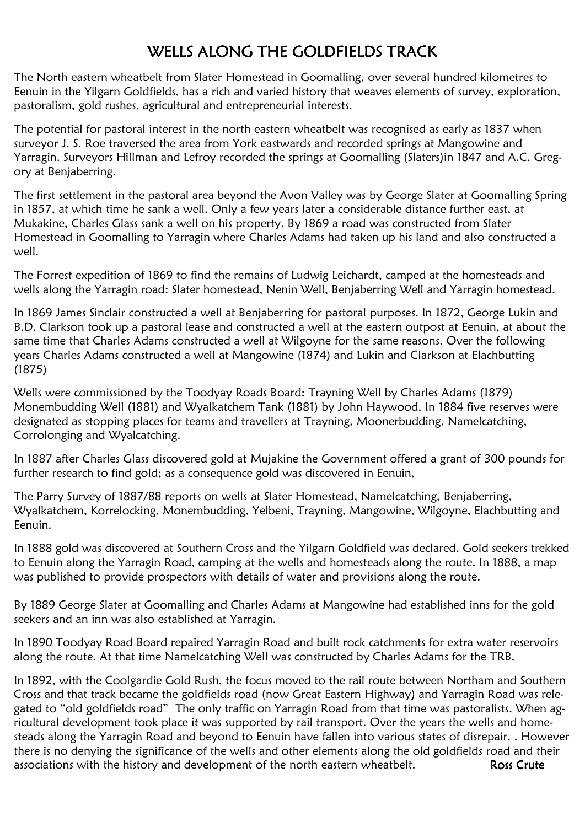## WELLS ALONG THE GOLDFIELDS TRACK

The North eastern wheatbelt from Slater Homestead in Goomalling, over several hundred kilometres to Eenuin in the Yilgarn Goldfields, has a rich and varied history that weaves elements of survey, exploration, pastoralism, gold rushes, agricultural and entrepreneurial interests.

The potential for pastoral interest in the north eastern wheatbelt was recognised as early as 1837 when surveyor J. S. Roe traversed the area from York eastwards and recorded springs at Mangowine and Yarragin. Surveyors Hillman and Lefroy recorded the springs at Goomalling (Slaters)in 1847 and A.C. Gregory at Benjaberring.

The first settlement in the pastoral area beyond the Avon Valley was by George Slater at Goomalling Spring in 1857, at which time he sank a well. Only a few years later a considerable distance further east, at Mukakine, Charles Glass sank a well on his property. By 1869 a road was constructed from Slater Homestead in Goomalling to Yarragin where Charles Adams had taken up his land and also constructed a well.

The Forrest expedition of 1869 to find the remains of Ludwig Leichardt, camped at the homesteads and wells along the Yarragin road: Slater homestead, Nenin Well, Benjaberring Well and Yarragin homestead.

In 1869 James Sinclair constructed a well at Benjaberring for pastoral purposes. In 1872, George Lukin and B.D. Clarkson took up a pastoral lease and constructed a well at the eastern outpost at Eenuin, at about the same time that Charles Adams constructed a well at Wilgoyne for the same reasons. Over the following years Charles Adams constructed a well at Mangowine (1874) and Lukin and Clarkson at Elachbutting (1875)

Wells were commissioned by the Toodyay Roads Board: Trayning Well by Charles Adams (1879) Monembudding Well (1881) and Wyalkatchem Tank (1881) by John Haywood. In 1884 five reserves were designated as stopping places for teams and travellers at Trayning, Moonerbudding, Namelcatching, Corrolonging and Wyalcatching.

In 1887 after Charles Glass discovered gold at Mujakine the Government offered a grant of 300 pounds for further research to find gold; as a consequence gold was discovered in Eenuin,

The Parry Survey of 1887/88 reports on wells at Slater Homestead, Namelcatching, Benjaberring, Wyalkatchem, Korrelocking, Monembudding, Yelbeni, Trayning, Mangowine, Wilgoyne, Elachbutting and Eenuin.

In 1888 gold was discovered at Southern Cross and the Yilgarn Goldfield was declared. Gold seekers trekked to Eenuin along the Yarragin Road, camping at the wells and homesteads along the route. In 1888, a map was published to provide prospectors with details of water and provisions along the route.

By 1889 George Slater at Goomalling and Charles Adams at Mangowine had established inns for the gold seekers and an inn was also established at Yarragin.

In 1890 Toodyay Road Board repaired Yarragin Road and built rock catchments for extra water reservoirs along the route. At that time Namelcatching Well was constructed by Charles Adams for the TRB.

In 1892, with the Coolgardie Gold Rush, the focus moved to the rail route between Northam and Southern Cross and that track became the goldfields road (now Great Eastern Highway) and Yarragin Road was relegated to "old goldfields road" The only traffic on Yarragin Road from that time was pastoralists. When agricultural development took place it was supported by rail transport. Over the years the wells and homesteads along the Yarragin Road and beyond to Eenuin have fallen into various states of disrepair. . However there is no denying the significance of the wells and other elements along the old goldfields road and their associations with the history and development of the north eastern wheatbelt. Ross Crute